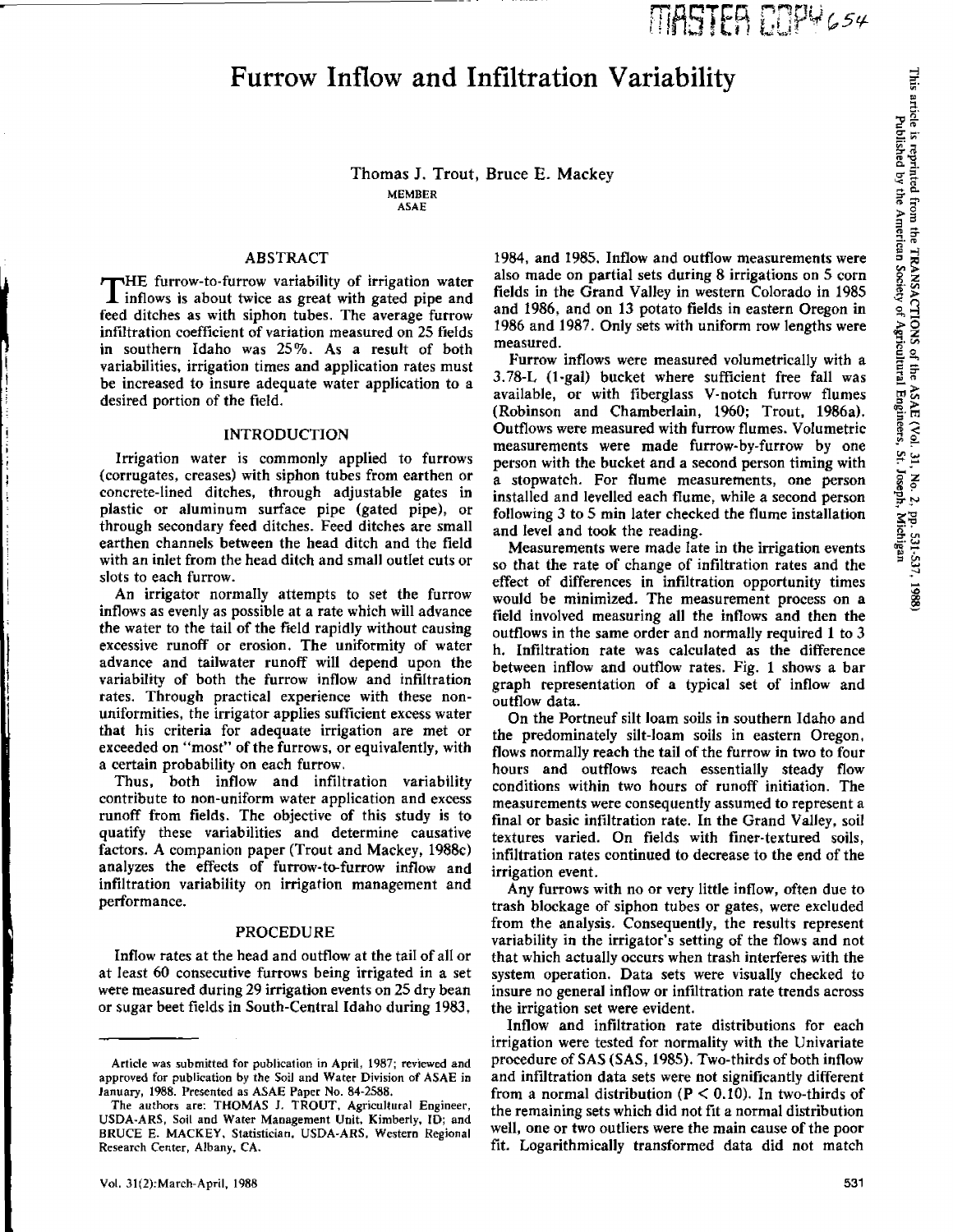$\overline{a}$ 

# Furrow Inflow and Infiltration Variability

Thomas *J.* Trout, Bruce E. Mackey **MEMBER** ASAE

# ABSTRACT

THE furrow-to-furrow variability of irrigation water 1 inflows is about twice as great with gated pipe and feed ditches as with siphon tubes. The average furrow infiltration coefficient of variation measured on 25 fields in southern Idaho was 25%. As a result of both variabilities, irrigation times and application rates must be increased to insure adequate water application to a desired portion of the field.

## **INTRODUCTION**

Irrigation water is commonly applied to furrows (corrugates, creases) with siphon tubes from earthen or concrete-lined ditches, through adjustable gates in plastic or aluminum surface pipe (gated pipe), or through secondary feed ditches. Feed ditches are small earthen channels between the head ditch and the field with an inlet from the head ditch and small outlet cuts or slots to each furrow.

An irrigator normally attempts to set the furrow inflows as evenly as possible at a rate which will advance the water to the tail of the field rapidly without causing excessive runoff or erosion. The uniformity of water advance and tailwater runoff will depend upon the variability of both the furrow inflow and infiltration rates. Through practical experience with these nonuniformities, the irrigator applies sufficient excess water that his criteria for adequate irrigation are met or exceeded on "most" of the furrows, or equivalently, with a certain probability on each furrow.

Thus, both inflow and infiltration variability contribute to non-uniform water application and excess runoff from fields. The objective of this study is to quatify these variabilities and determine causative factors. A companion paper (Trout and Mackey, 1988c) analyzes the effects of furrow-to-furrow inflow and infiltration variability on irrigation management and performance.

#### PROCEDURE

Inflow rates at the head and outflow at the tail of all or at least 60 consecutive furrows being irrigated in a set were measured during 29 irrigation events on 25 dry bean or sugar beet fields in South-Central Idaho during 1983,

1984, and 1985. Inflow and outflow measurements were also made on partial sets during 8 irrigations on 5 corn fields in the Grand Valley in western Colorado in 1985 and 1986, and on 13 potato fields in eastern Oregon in 1986 and 1987. Only sets with uniform row lengths were measured.

Furrow inflows were measured volumetrically with a 3.78-L (1-gal) bucket where sufficient free fall was available, or with fiberglass V-notch furrow flumes (Robinson and Chamberlain, 1960; Trout, 1986a). Outflows were measured with furrow flumes. Volumetric measurements were made furrow-by-furrow by one person with the bucket and a second person timing with a stopwatch. For flume measurements, one person installed and levelled each flume, while a second person following 3 to 5 min later checked the flume installation and level and took the reading.

Measurements were made late in the irrigation events so that the rate of change of infiltration rates and the effect of differences in infiltration opportunity times would be minimized. The measurement process on a field involved measuring all the inflows and then the outflows in the same order and normally required 1 to 3 h. Infiltration rate was calculated as the difference between inflow and outflow rates. Fig. 1 shows a bar graph representation of a typical set of inflow and outflow data.

On the Portneuf silt loam soils in southern Idaho and the predominately silt-loam soils in eastern Oregon, flows normally reach the tail of the furrow in two to four hours and outflows reach essentially steady flow conditions within two hours of runoff initiation. The measurements were consequently assumed to represent a final or basic infiltration rate. In the Grand Valley, soil textures varied. On fields with finer-textured soils, infiltration rates continued to decrease to the end of the irrigation event.

Any furrows with no or very little inflow, often due to trash blockage of siphon tubes or gates, were excluded from the analysis. Consequently, the results represent variability in the irrigator's setting of the flows and not that which actually occurs when trash interferes with the system operation. Data sets were visually checked to insure no general inflow or infiltration rate trends across the irrigation set were evident.

Inflow and infiltration rate distributions for each irrigation were tested for normality with the Univariate procedure of SAS (SAS, 1985). Two-thirds of both inflow and infiltration data sets were not significantly different from a normal distribution ( $P < 0.10$ ). In two-thirds of the remaining sets which did not fit a normal distribution well, one or two outliers were the main cause of the poor fit. Logarithmically transformed data did not match

Article was submitted for publication in April, 1987; reviewed and approved for publication by the Soil and Water Division of ASAE in January, 1988. Presented as ASAE Paper No. 84-2588.

The authors are: THOMAS I. TROUT, Agricultural Engineer, USDA-ARS, Soil and Water Management Unit, Kimberly, ID; and BRUCE E. MACKEY, Statistician, USDA-ARS, Western Regional Research Center, Albany, CA.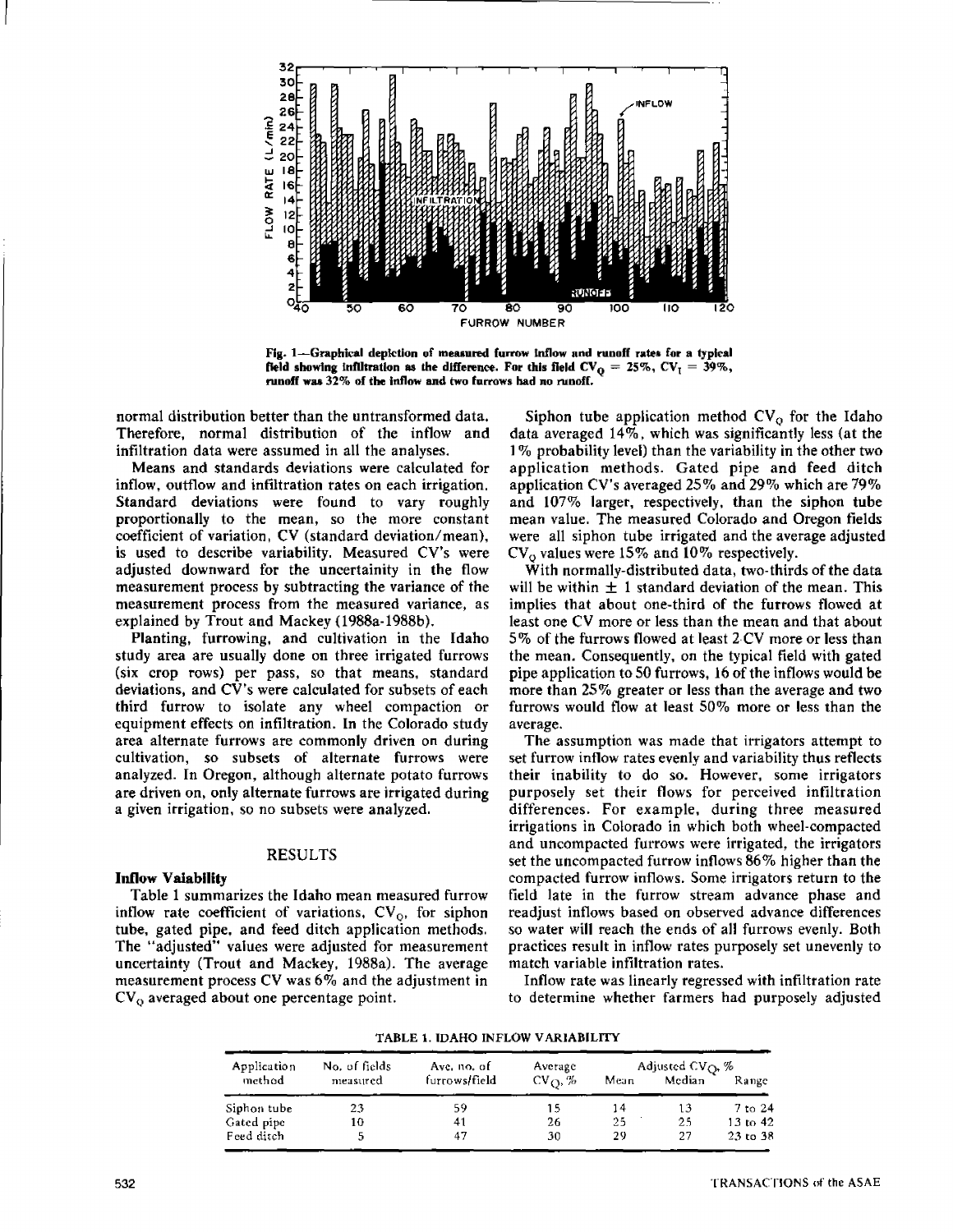

**Fig. 1—Graphical depiction of measured furrow inflow and runoff rates far a typical** field showing infiltration as the difference. For this field  $CV_0 = 25\%$ ,  $CV_I = 39\%$ , **runoff was 32% of the inflow and two furrows had no runoff.**

normal distribution better than the untransformed data. Therefore, normal distribution of the inflow and infiltration data were assumed in all the analyses.

Means and standards deviations were calculated for inflow, outflow and infiltration rates on each irrigation. Standard deviations were found to vary roughly proportionally to the mean, so the more constant coefficient of variation, CV (standard deviation/mean), is used to describe variability. Measured CV's were adjusted downward for the uncertainity in the flow measurement process by subtracting the variance of the measurement process from the measured variance, as explained by Trout and Mackey (1988a-1988b).

Planting, furrowing, and cultivation in the Idaho study area are usually done on three irrigated furrows (six crop rows) per pass, so that means, standard deviations, and CV's were calculated for subsets of each third furrow to isolate any wheel compaction or equipment effects on infiltration. In the Colorado study area alternate furrows are commonly driven on during cultivation, so subsets of alternate furrows were analyzed. In Oregon, although alternate potato furrows are driven on, only alternate furrows are irrigated during a given irrigation, so no subsets were analyzed.

#### RESULTS

#### **Inflow Valability**

Table 1 summarizes the Idaho mean measured furrow inflow rate coefficient of variations,  $CV_0$ , for siphon tube, gated pipe, and feed ditch application methods. The "adjusted" values were adjusted for measurement uncertainty (Trout and Mackey, 1988a). The average measurement process CV was 6% and the adjustment in CV<sub>o</sub> averaged about one percentage point.

Siphon tube application method  $CV_0$  for the Idaho data averaged 14%, which was significantly less (at the 1% probability level) than the variability in the other two application methods. Gated pipe and feed ditch application CV's averaged 25% and 29% which are 79% and 107% larger, respectively, than the siphon tube mean value. The measured Colorado and Oregon fields were all siphon tube irrigated and the average adjusted  $CV<sub>o</sub>$  values were 15% and 10% respectively.

With normally-distributed data, two-thirds of the data will be within  $\pm$  1 standard deviation of the mean. This implies that about one-third of the furrows flowed at least one CV more or less than the mean and that about 5% of the furrows flowed at least 2 CV more or less than the mean. Consequently, on the typical field with gated pipe application to 50 furrows, 16 of the inflows would be more than 25% greater or less than the average and two furrows would flow at least 50% more or less than the average.

The assumption was made that irrigators attempt to set furrow inflow rates evenly and variability thus reflects their inability to do so. However, some irrigators purposely set their flows for perceived infiltration differences. For example, during three measured irrigations in Colorado in which both wheel-compacted and uncompacted furrows were irrigated, the irrigators set the uncompacted furrow inflows 86% higher than the compacted furrow inflows. Some irrigators return to the field late in the furrow stream advance phase and readjust inflows based on observed advance differences so water will reach the ends of all furrows evenly. Both practices result in inflow rates purposely set unevenly to match variable infiltration rates.

Inflow rate was linearly regressed with infiltration rate to determine whether farmers had purposely adjusted

**TABLE 1. IDAHO INFLOW VARIABILITY**

| Application | No. of fields | Ave, no, of   | Average           | Adjusted CVO, $%$ |        |          |
|-------------|---------------|---------------|-------------------|-------------------|--------|----------|
| method      | measured      | furrows/field | $CV_{\Omega}$ , % | Меап              | Median | Range    |
| Siphon tube | 23.           | 59            | 1 -               | 14                |        | 7 to 24  |
| Gated pipe- | 10            | 41            | 26                | 25                | 25     | 13 to 42 |
| Feed ditch  |               | 47            | 30                | 29.               | 27     | 23 to 38 |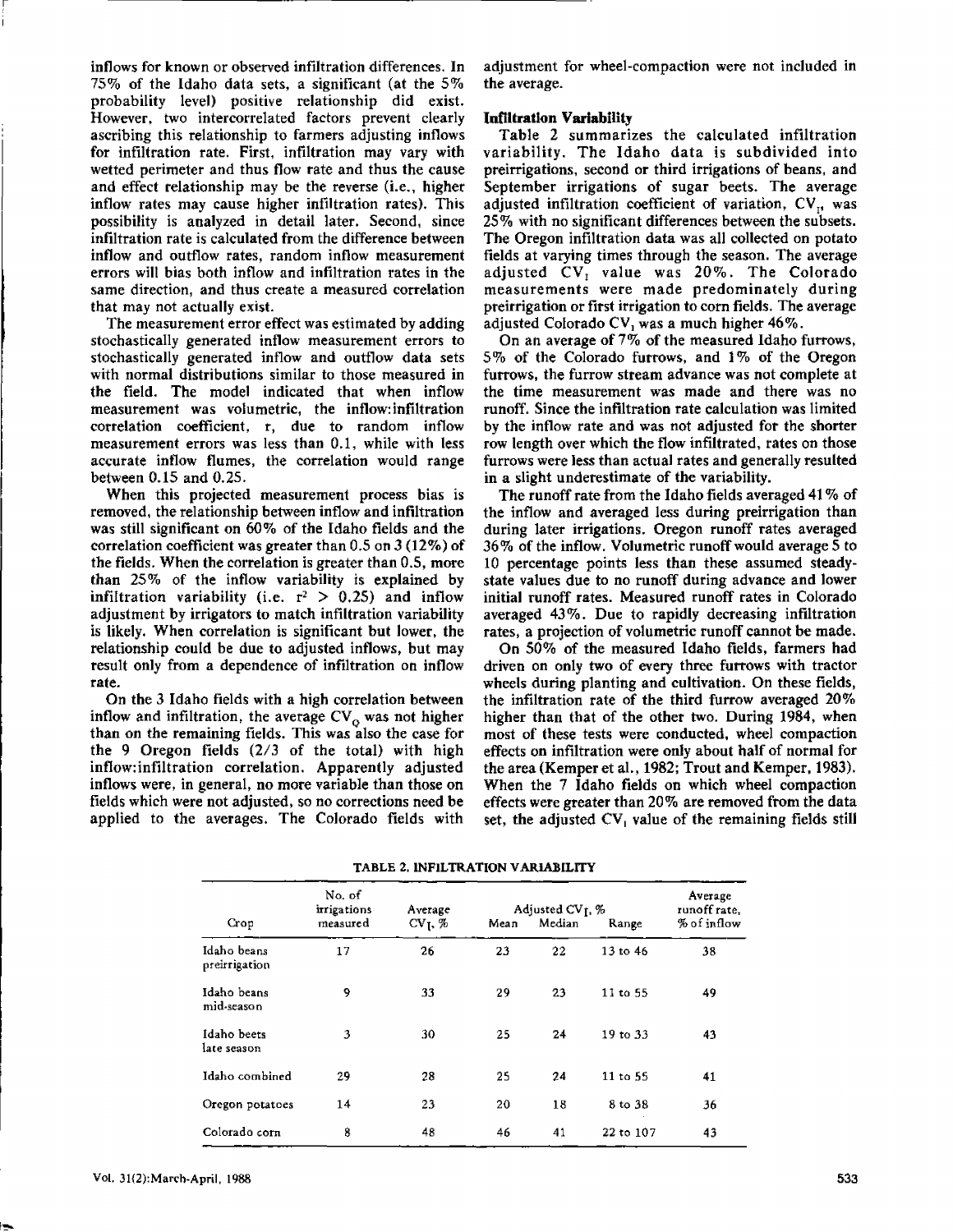inflows for known or observed infiltration differences. In 75% of the Idaho data sets, a significant (at the 5% probability level) positive relationship did exist. However, two intercorrelated factors prevent clearly ascribing this relationship to farmers adjusting inflows for infiltration rate. First, infiltration may vary with wetted perimeter and thus flow rate and thus the cause and effect relationship may be the reverse (i.e., higher inflow rates may cause higher infiltration rates). This possibility is analyzed in detail later. Second, since infiltration rate is calculated from the difference between inflow and outflow rates, random inflow measurement errors will bias both inflow and infiltration rates in the same direction, and thus create a measured correlation that may not actually exist.

The measurement error effect was estimated by adding stochastically generated inflow measurement errors to stochastically generated inflow and outflow data sets with normal distributions similar to those measured in the field. The model indicated that when inflow measurement was volumetric, the inflow: infiltration correlation coefficient, r, due to random inflow measurement errors was less than 0.1, while with less accurate inflow flumes, the correlation would range between 0.15 and 0.25.

When this projected measurement process bias is removed, the relationship between inflow and infiltration was still significant on 60% of the Idaho fields and the correlation coefficient was greater than 0.5 on 3 (12%) of the fields. When the correlation is greater than 0.5, more than 25% of the inflow variability is explained by infiltration variability (i.e.  $r^2 > 0.25$ ) and inflow adjustment by irrigators to match infiltration variability is likely. When correlation is significant but lower, the relationship could be due to adjusted inflows, but may result only from a dependence of infiltration on inflow rate.

On the 3 Idaho fields with a high correlation between inflow and infiltration, the average  $CV_0$  was not higher than on the remaining fields. This was also the case for the 9 Oregon fields (2/3 of the total) with high inflow:infiltration correlation. Apparently adjusted inflows were, in general, no more variable than those on fields which were not adjusted, so no corrections need be applied to the averages. The Colorado fields with

adjustment for wheel-compaction were not included in the average.

#### **Infiltration Variability**

Table 2 summarizes the calculated infiltration variability. The Idaho data is subdivided into preirrigations, second or third irrigations of beans, and September irrigations of sugar beets. The average adjusted infiltration coefficient of variation,  $CV<sub>1</sub>$  was 25% with no significant differences between the subsets. The Oregon infiltration data was all collected on potato fields at varying times through the season. The average adjusted CV, value was 20%. The Colorado measurements were made predominately during preirrigation or first irrigation to corn fields. The average adjusted Colorado CV, was a much higher 46%.

On an average of 7% of the measured Idaho furrows, 5% of the Colorado furrows, and 1% of the Oregon furrows, the furrow stream advance was not complete at the time measurement was made and there was no runoff. Since the infiltration rate calculation was limited by the inflow rate and was not adjusted for the shorter row length over which the flow infiltrated, rates on those furrows were less than actual rates and generally resulted in a slight underestimate of the variability.

The runoff rate from the Idaho fields averaged  $41\%$  of the inflow and averaged less during preirrigation than during later irrigations. Oregon runoff rates averaged 36% of the inflow. Volumetric runoff would average 5 to 10 percentage points less than these assumed steadystate values due to no runoff during advance and lower initial runoff rates. Measured runoff rates in Colorado averaged 43%. Due to rapidly decreasing infiltration rates, a projection of volumetric runoff cannot be made.

On 50% of the measured Idaho fields, farmers had driven on only two of every three furrows with tractor wheels during planting and cultivation. On these fields, the infiltration rate of the third furrow averaged 20% higher than that of the other two. During 1984, when most of these tests were conducted, wheel compaction effects on infiltration were only about half of normal for the area (Kemper et al., 1982; Trout and Kemper, 1983). When the 7 Idaho fields on which wheel compaction effects were greater than 20% are removed from the data set, the adjusted CV, value of the remaining fields still

|                              | No. of<br>irrigations | Average   | Adjusted CV <sub>L</sub> , $%$ |        |           | Average<br>runoff rate, |  |
|------------------------------|-----------------------|-----------|--------------------------------|--------|-----------|-------------------------|--|
| Crop                         | measured              | $CV1$ , % | Меап                           | Median | Range     | % of inflow             |  |
| Idaho beans<br>preirrigation | 17                    | 26        | 23                             | 22     | 13 to 46  | 38                      |  |
| Idaho beans<br>mid-season    | ۰                     | 33        | 29                             | 23     | 11 to 55  | 49                      |  |
| Idaho beets<br>late season   | 3                     | 30        | 25                             | 24     | 19 to 33  | 43                      |  |
| Idaho combined               | 29                    | 28        | 25                             | 24     | 11 to 55  | 41                      |  |
| Oregon potatoes              | 14                    | 23        | 20                             | 18     | 8 to 38   | 36                      |  |
| Colorado corn                | 8                     | 48        | 46                             | 41     | 22 to 107 | 43                      |  |

**TABLE** 2. **INFILTRATION VARIABILITY**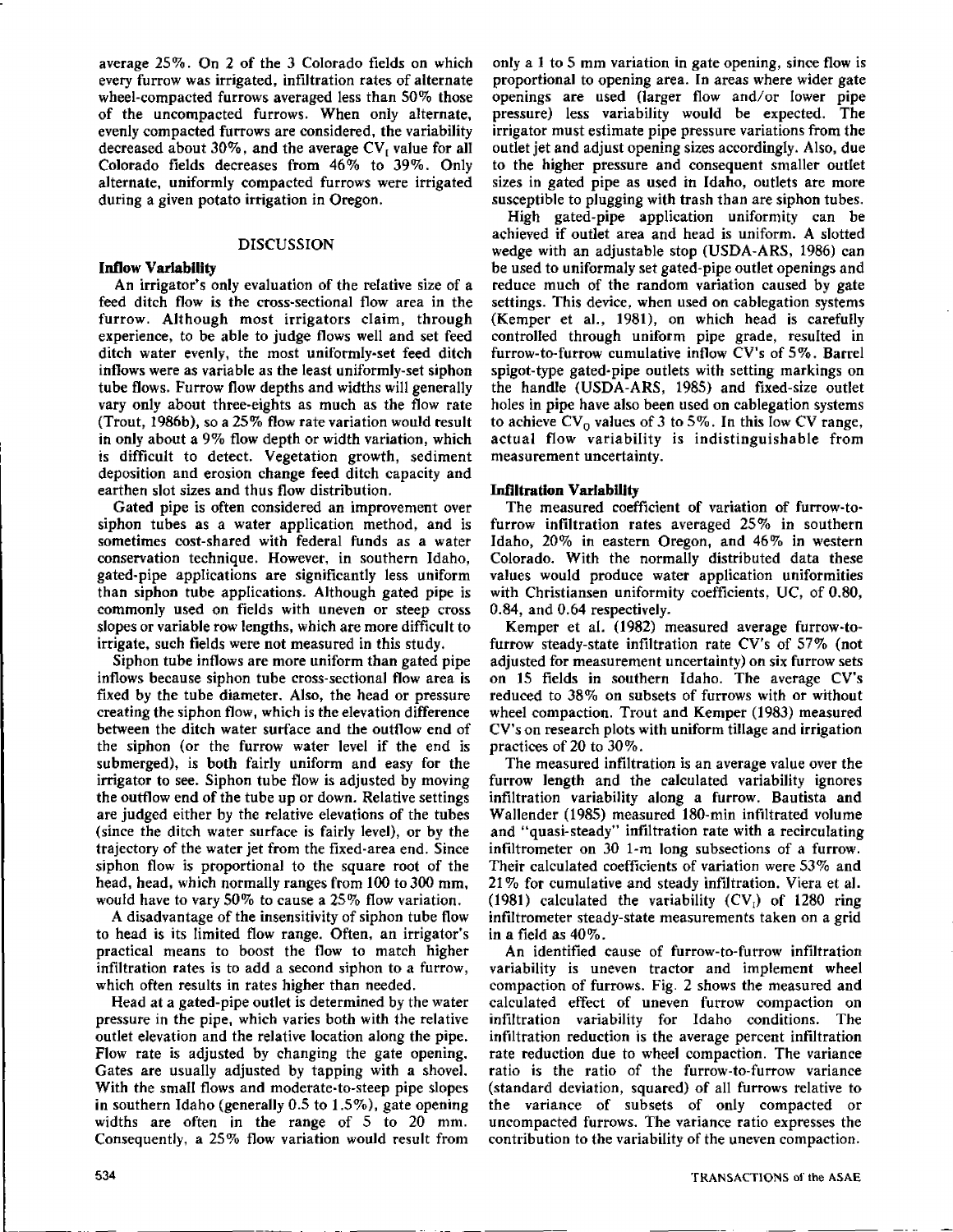average 25%. On 2 of the 3 Colorado fields on which every furrow was irrigated, infiltration rates of alternate wheel-compacted furrows averaged less than SO% those of the uncompacted furrows. When only alternate, evenly compacted furrows are considered, the variability decreased about 30%, and the average CV, value for all Colorado fields decreases from 46% to 39%. Only alternate, uniformly compacted furrows were irrigated during a given potato irrigation in Oregon.

## DISCUSSION

## **Inflow Variability**

An irrigator's only evaluation of the relative size of a feed ditch flow is the cross-sectional flow area in the furrow. Although most irrigators claim, through experience, to be able to judge flows well and set feed ditch water evenly, the most uniformly-set feed ditch inflows were as variable as the least uniformly-set siphon tube flows. Furrow flow depths and widths will generally vary only about three-eights as much as the flow rate (Trout, 1986b), so a 25% flow rate variation would result in only about a 9% flow depth or width variation, which is difficult to detect. Vegetation growth, sediment deposition and erosion change feed ditch capacity and earthen slot sizes and thus flow distribution.

Gated pipe is often considered an improvement over siphon tubes as a water application method, and is sometimes cost-shared with federal funds as a water conservation technique. However, in southern Idaho, gated-pipe applications are significantly less uniform than siphon tube applications. Although gated pipe is commonly used on fields with uneven or steep cross slopes or variable row lengths, which are more difficult to irrigate, such fields were not measured in this study.

Siphon tube inflows are more uniform than gated pipe inflows because siphon tube cross-sectional flow area is fixed by the tube diameter. Also, the head or pressure creating the siphon flow, which is the elevation difference between the ditch water surface and the outflow end of the siphon (or the furrow water level if the end is submerged), is both fairly uniform and easy for the irrigator to see. Siphon tube flow is adjusted by moving the outflow end of the tube up or down. Relative settings are judged either by **the relative elevations of the tubes** (since the ditch water surface is fairly level), or by the trajectory of the water jet from the fixed-area end. Since siphon flow is proportional to the square root of the head, head, which normally ranges from 100 to 300 mm, would have to vary 50% to cause a 25% flow variation.

A disadvantage of the insensitivity of siphon tube flow to head is its limited flow range. Often, an irrigator's practical means to boost the flow to match higher infiltration rates is to add a second siphon to a furrow, which often results in rates higher than needed.

Head at a gated-pipe outlet is determined by the water pressure in the pipe, which varies both with the relative outlet elevation and the relative location along the pipe. Flow rate is adjusted by changing the gate opening. Gates are usually adjusted by tapping with a shovel. With the small flows and moderate-to-steep pipe slopes in southern Idaho (generally 0.5 to 1.5%), gate opening widths are often in the range of 5 to 20 mm. Consequently, a 25% flow variation would result from only a 1 to 5 mm variation in gate opening, since flow is proportional to opening area. In areas where wider gate openings are used (larger flow and/or lower pipe pressure) less variability would be expected. The irrigator must estimate pipe pressure variations from the outlet jet and adjust opening sizes accordingly. Also, due to the higher pressure and consequent smaller outlet sizes in gated pipe as used in Idaho, outlets are more susceptible to plugging with trash than are siphon tubes.

High gated-pipe application uniformity can be achieved if outlet area and head is uniform. A slotted wedge with an adjustable stop (USDA-ARS, 1986) can be used to uniformaly set gated-pipe outlet openings and reduce much of the random variation caused by gate settings. This device, when used on cablegation systems (Kemper et al., 1981), on which head is carefully controlled through uniform pipe grade, resulted in furrow-to-furrow cumulative inflow CV's of 5%. Barrel spigot-type gated-pipe outlets with setting markings on the handle (USDA-ARS, 1985) and fixed-size outlet holes in pipe have also been used on cablegation systems to achieve  $CV_0$  values of 3 to 5%. In this low CV range, actual flow variability is indistinguishable from measurement uncertainty.

## **Infiltration Variability**

The measured coefficient of variation of furrow-tofurrow infiltration rates averaged 25% in southern Idaho, 20% in eastern Oregon, and 46% in western Colorado. With the normally distributed data **these** values would produce water application uniformities with Christiansen uniformity coefficients, UC, of 0.80, 0.84, and 0.64 respectively.

Kemper et al. (1982) measured average furrow-tofurrow steady-state infiltration rate CV's of 57% (not adjusted for measurement uncertainty) on six furrow sets on 15 fields in southern Idaho. The average CV's reduced to 38% on subsets of furrows with or without wheel compaction. Trout and Kemper (1983) measured CV's on research plots with uniform tillage and irrigation practices of 20 to 30%.

The measured infiltration is an average value over the furrow length and the calculated variability ignores infiltration variability along a furrow. Bautista and Wallender (1985) measured 180-min infiltrated volume and "quasi-steady" infiltration rate with a recirculating infiltrometer on 30 1-m long subsections of a furrow. Their calculated coefficients of variation were 53% and 21% for cumulative and steady infiltration. Viera et al. (1981) calculated the variability  $(CV_1)$  of 1280 ring infiltrometer steady-state measurements taken on a grid in a field as 40%.

An identified cause of furrow-to-furrow infiltration variability is uneven tractor and implement wheel compaction of furrows. Fig. 2 shows the measured and calculated effect of uneven furrow compaction on infiltration variability for Idaho conditions. The infiltration reduction is the average percent infiltration rate reduction due to wheel compaction. The variance ratio is the ratio of the furrow-to-furrow variance (standard deviation, squared) of all furrows relative to the variance of subsets of only compacted or uncompacted furrows. The variance ratio expresses the contribution to the variability of the uneven compaction.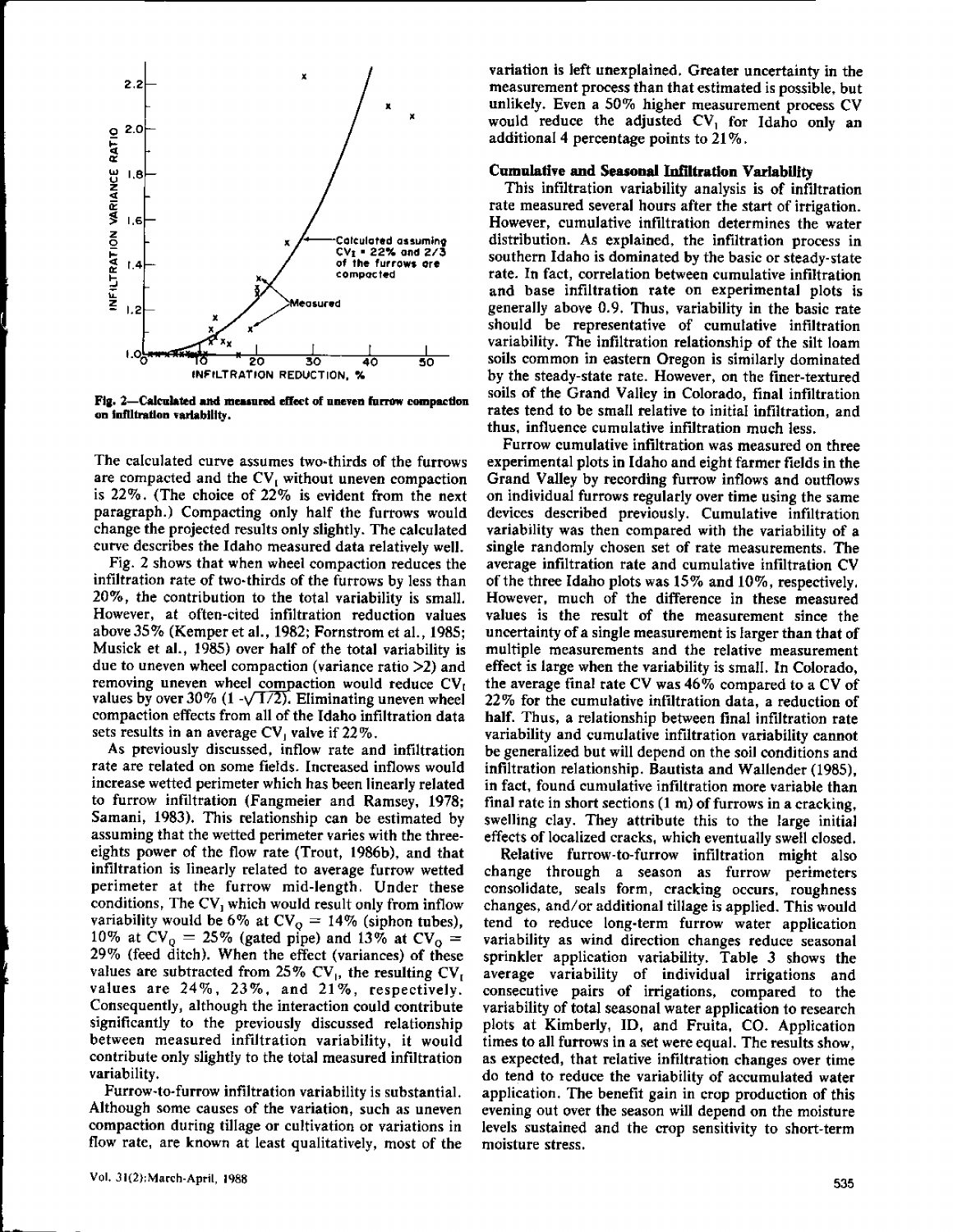

**Fig. 2—Calculated and measured effect of uneven furrow compaction on infiltration variability.**

The calculated curve assumes two-thirds of the furrows are compacted and the  $CV_t$  without uneven compaction is 22%. (The choice of 22% is evident from the next paragraph.) Compacting only half the furrows would change the projected results only slightly. The calculated curve describes the Idaho measured data relatively well.

Fig. 2 shows that when wheel compaction reduces the infiltration rate of two-thirds of the furrows by less than 20%, the contribution to the total variability is small. However, at often-cited infiltration reduction values above 35% (Kemper et al., 1982; Fornstrom et al., 1985; Musick et al., 1985) over half of the total variability is due to uneven wheel compaction (variance ratio >2) and Musick et al., 1985) over half of the total variability is<br>due to uneven wheel compaction (variance ratio >2) and<br>removing uneven wheel compaction would reduce  $CV_t$ <br>values by over 30% (1 - $\sqrt{1/2}$ ). Eliminating uneven wh values by over  $30\%$  (1  $-\sqrt{1/2}$ ). Eliminating uneven wheel compaction effects from all of the Idaho infiltration data sets results in an average  $CV_1$  valve if 22%.

As previously discussed, inflow rate and infiltration rate are related on some fields. Increased inflows would increase wetted perimeter which has been linearly related to furrow infiltration (Fangmeier and Ramsey, 1978; Samani, 1983). This relationship can be estimated by assuming that the wetted perimeter varies with the threeeights power of the flow rate (Trout, 1986b), and that infiltration is linearly related to average furrow wetted perimeter at the furrow mid-length. Under these conditions, The  $CV_1$  which would result only from inflow variability would be 6% at  $CV_0 = 14%$  (siphon tubes), 10% at  $CV_0 = 25\%$  (gated pipe) and 13% at  $CV_0 =$ 29% (feed ditch). When the effect (variances) of these values are subtracted from 25%  $CV_1$ , the resulting  $CV_1$ values are 24%, 23%, and 21%, respectively. Consequently, although the interaction could contribute significantly to the previously discussed relationship between measured infiltration variability, it would contribute only slightly to the total measured infiltration variability.

Furrow-to-furrow infiltration variability is substantial. Although some causes of the variation, such as uneven compaction during tillage or cultivation or variations in flow rate, are known at least qualitatively, most of the

variation is left unexplained. Greater uncertainty in the measurement process than that estimated is possible, but unlikely. Even a 50% higher measurement process CV would reduce the adjusted  $CV_1$  for Idaho only an additional 4 percentage points to 21%.

#### **Cumulative and Seasonal Infiltration Variability**

This infiltration variability analysis is of infiltration rate measured several hours after the start of irrigation. However, cumulative infiltration determines the water distribution. As explained, the infiltration process in southern Idaho is dominated by the basic or steady-state rate. In fact, correlation between cumulative infiltration and base infiltration rate on experimental plots is generally above 0.9. Thus, variability in the basic rate should be representative of cumulative infiltration variability. The infiltration relationship of the silt loam soils common in eastern Oregon is similarly dominated by the steady-state rate. However, on the finer-textured soils of the Grand Valley in Colorado, final infiltration rates tend to be small relative to initial infiltration, and thus, influence cumulative infiltration much less.

Furrow cumulative infiltration was measured on three experimental plots in Idaho and eight farmer fields in the Grand Valley by recording furrow inflows and outflows on individual furrows regularly over time using the same devices described previously. Cumulative infiltration variability was then compared with the variability of a single randomly chosen set of rate measurements. The average infiltration rate and cumulative infiltration CV of the three Idaho plots was 15% and 10%, respectively. However, much of the difference in these measured values is the result of the measurement since the uncertainty of a single measurement is **larger than that of multiple measurements and the relative measurement effect is large** when the variability is small. In Colorado, the average final rate CV was 46% compared to a CV of 22% for the cumulative infiltration data, a reduction of half. Thus, a relationship between final infiltration rate variability and cumulative infiltration variability cannot be generalized but will depend on the soil conditions and infiltration relationship. Bautista and Wallender (1985), in fact, found cumulative infiltration more variable than final rate in short sections (1 m) of furrows in a cracking, swelling clay. They attribute this to the large initial effects of localized cracks, which eventually swell closed.

Relative furrow-to-furrow infiltration might also change through a season as furrow perimeters consolidate, seals form, cracking occurs, roughness changes, and/or additional tillage is applied. This would tend to reduce long-term furrow water application variability as wind direction changes reduce seasonal sprinkler application variability. Table 3 shows the average variability of individual irrigations and consecutive pairs of irrigations, compared to the variability of total seasonal water application to research plots at Kimberly, ID, and Fruita, CO. Application times to all furrows in a set were equal. The results show, as expected, that relative infiltration changes over time do tend to reduce the variability of accumulated water application. The benefit gain in crop production of this evening out over the season will depend on the moisture levels sustained and the crop sensitivity to short-term moisture stress.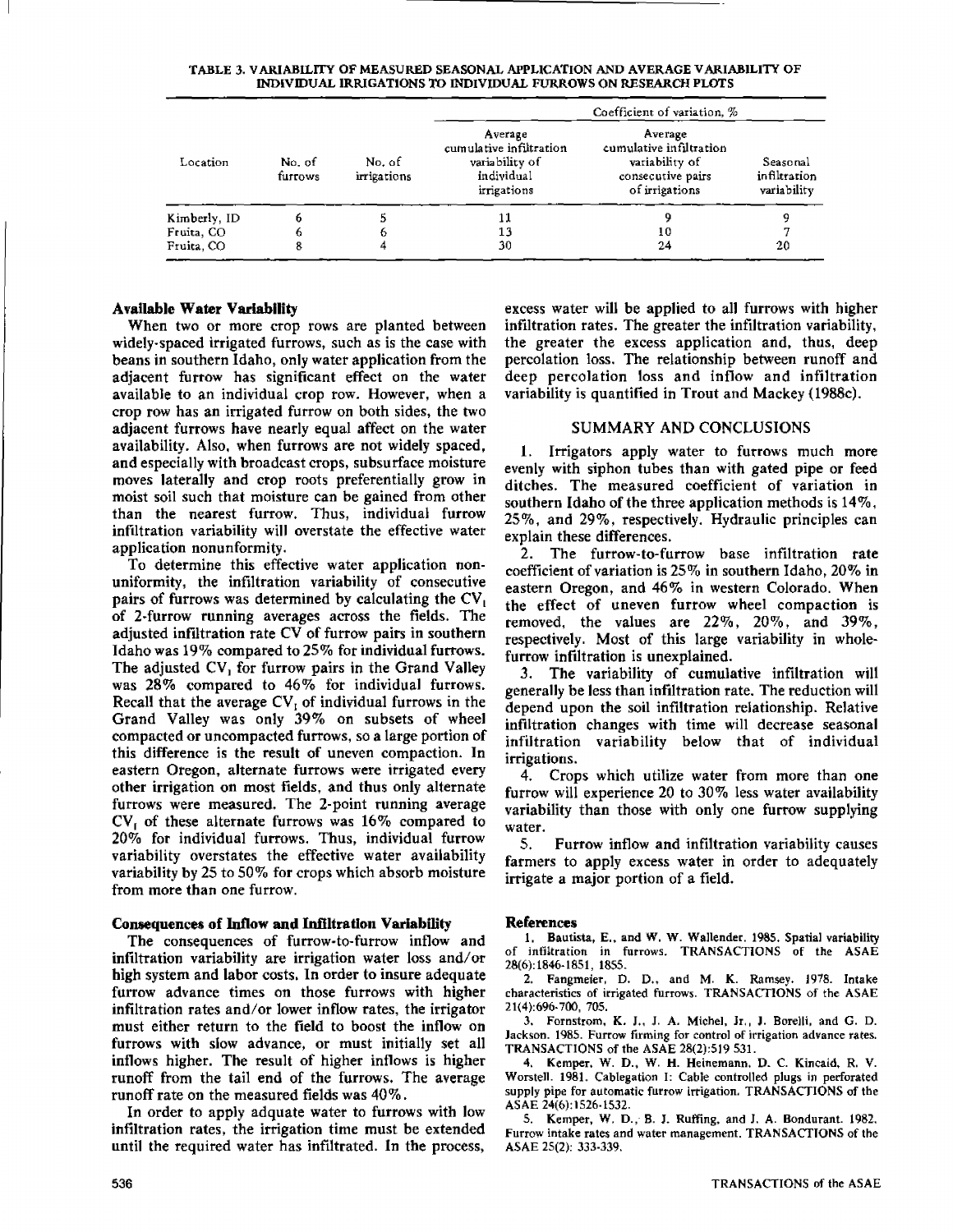#### TABLE 3. VARIABILITY OF MEASURED SEASONAL APPLICATION AND AVERAGE VARIABILITY OF INDIVIDUAL IRRIGATIONS TO **INDIVIDUAL FURROWS ON RESEARCH PLOTS**

| Location     |                   | No. of<br>irrigations | Coefficient of variation, %                                                       |                                                                                             |                                         |  |  |
|--------------|-------------------|-----------------------|-----------------------------------------------------------------------------------|---------------------------------------------------------------------------------------------|-----------------------------------------|--|--|
|              | No. of<br>furrows |                       | Average<br>cumulative infiltration<br>variability of<br>individual<br>irrigations | Average<br>cumulative infiltration<br>variability of<br>consecutive pairs<br>of irrigations | Seasonal<br>infiltration<br>variability |  |  |
| Kimberly, ID | 6                 | 5                     | 11                                                                                |                                                                                             |                                         |  |  |
| Fruita, CO   | b                 | Þ                     | 13                                                                                | 10                                                                                          |                                         |  |  |
| Fruita, CO   | 8                 |                       | 30                                                                                | 24                                                                                          | 20                                      |  |  |

## **Available** Water **Variability**

When two or more crop rows are planted between widely-spaced irrigated furrows, such as is the case with beans in southern Idaho, only water application from the adjacent furrow has significant effect on the water available to an individual crop row. However, when a crop row has an irrigated furrow on both sides, the two adjacent furrows have nearly equal affect on the water availability. Also, when furrows are not widely spaced, and especially with broadcast crops, subsurface moisture moves laterally and crop roots preferentially grow in moist soil such that moisture can be gained from other than the nearest furrow. Thus, individual furrow infiltration variability will overstate the effective water application nonunformity.

To determine this effective water application nonuniformity, the infiltration variability of consecutive pairs of furrows was determined by calculating the  $CV_1$ of 2-furrow running averages across the fields. The adjusted infiltration rate CV of furrow pairs in southern Idaho was 19% compared to 25% for individual furrows. The adjusted CV, for furrow pairs in the Grand Valley was 28% compared to 46% for individual furrows. Recall that the average  $CV_1$  of individual furrows in the Grand Valley was only 39% on subsets of wheel compacted or uncompacted furrows, so a large portion of this difference is the result of uneven compaction. In eastern Oregon, alternate furrows were irrigated every other irrigation on most fields, and thus only alternate furrows were measured. The 2-point running average  $CV<sub>1</sub>$  of these alternate furrows was 16% compared to 20% for individual furrows. Thus, individual furrow variability overstates the effective water availability variability by 25 to 50% for crops which absorb moisture from more than one furrow.

## **Consequences of Inflow and Infiltration Variability**

The consequences of furrow-to-furrow inflow and infiltration variability are irrigation water loss and/or high system and labor costs. In order to insure adequate furrow advance times on those furrows with higher infiltration rates and/or lower inflow rates, the irrigator must either return to the field to boost the inflow on furrows with slow advance, or must initially set all inflows higher. The result of higher inflows is higher runoff from the tail end of the furrows. The average runoff rate on the measured fields was 40%.

In order to apply adquate water to furrows with low infiltration rates, the irrigation time must be extended until the required water has infiltrated. In the process,

excess water will be applied to all furrows with higher infiltration rates. The greater the infiltration variability, the greater the excess application and, thus, deep percolation loss. The relationship between runoff and deep percolation loss and inflow and infiltration variability is quantified in Trout and Mackey (1988c).

## SUMMARY AND CONCLUSIONS

1. Irrigators apply water to furrows much more evenly with siphon tubes than with gated pipe or feed ditches. The measured coefficient of variation in southern Idaho of the three application methods is 14%, 25%, and 29%, respectively. Hydraulic principles can explain these differences.

2. The furrow-to-furrow base infiltration rate coefficient of variation is 25% in southern Idaho, 20% in eastern Oregon, and 46% in western Colorado. When the effect of uneven furrow wheel compaction is removed, the values are 22%, 20%, and 39%, respectively. Most of this large variability in wholefurrow infiltration is unexplained.

3. The variability of cumulative infiltration will generally be less than infiltration rate. The reduction will depend upon the soil infiltration relationship. Relative infiltration changes with time will decrease seasonal infiltration variability below that of individual irrigations.

4. Crops which utilize water from more than one furrow will experience 20 to 30% less water availability variability than those with only one furrow supplying water.

5. Furrow inflow and infiltration variability causes farmers to apply excess water in order to adequately irrigate a major portion of a field.

## **References**

1. Bautista, E., and W. W. Wallender. 1985. Spatial variability infiltration in furrows. TRANSACTIONS of the ASAE 28(6):1846-1851, 1855.

2. Fangmeier, D. D., and M. K. Ramsey. 1978. Intake characteristics of irrigated furrows. TRANSACTIONS of the ASAE 21(4):696-700, 705.

3. Fornstrom, K. J., J. A. Michel, Jr., J. Borelli, and G. D. Jackson. 1985. Furrow firming for control of irrigation advance rates. TRANSACTIONS of the ASAE 28(2):519 531.

4, Kemper, W. **D., W. H.** Heinemann, D. C. Kincaid, R. V. Worstell. 1981. Cablegation I: Cable controlled plugs in perforated supply pipe for automatic furrow irrigation. TRANSACTIONS of the ASAE 24(6):1526 . 1532.

5. Kemper, W. D., B. J. Ruffing, and I. A. Bondurant. 1982, Furrow intake rates and water management. TRANSACTIONS of the ASAE 25(2): 333-339.